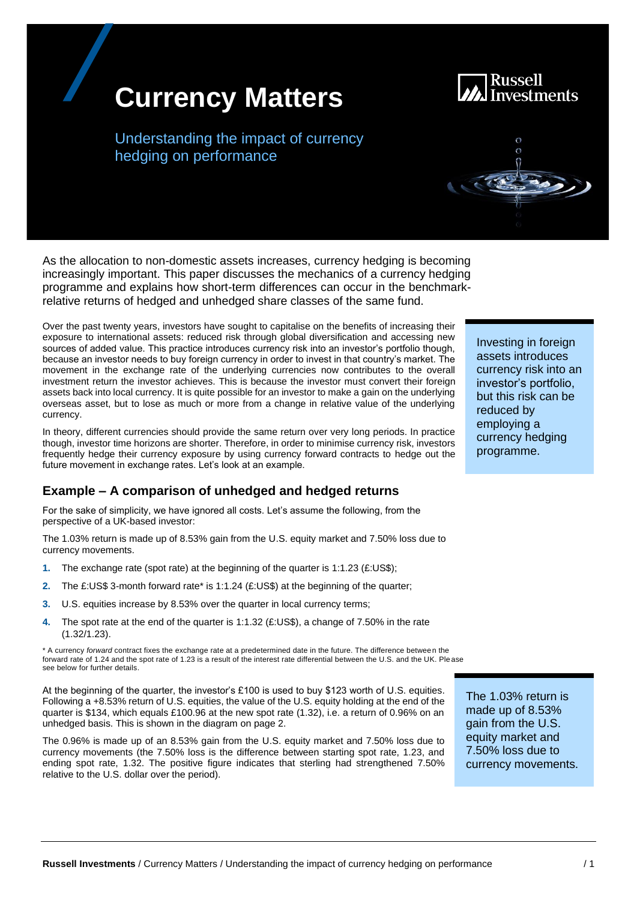# **Currency Matters**

Understanding the impact of currency hedging on performance

As the allocation to non-domestic assets increases, currency hedging is becoming increasingly important. This paper discusses the mechanics of a currency hedging programme and explains how short-term differences can occur in the benchmarkrelative returns of hedged and unhedged share classes of the same fund.

Over the past twenty years, investors have sought to capitalise on the benefits of increasing their exposure to international assets: reduced risk through global diversification and accessing new sources of added value. This practice introduces currency risk into an investor's portfolio though, because an investor needs to buy foreign currency in order to invest in that country's market. The movement in the exchange rate of the underlying currencies now contributes to the overall investment return the investor achieves. This is because the investor must convert their foreign assets back into local currency. It is quite possible for an investor to make a gain on the underlying overseas asset, but to lose as much or more from a change in relative value of the underlying currency.

In theory, different currencies should provide the same return over very long periods. In practice though, investor time horizons are shorter. Therefore, in order to minimise currency risk, investors frequently hedge their currency exposure by using currency forward contracts to hedge out the future movement in exchange rates. Let's look at an example.

# **Example – A comparison of unhedged and hedged returns**

For the sake of simplicity, we have ignored all costs. Let's assume the following, from the perspective of a UK-based investor:

The 1.03% return is made up of 8.53% gain from the U.S. equity market and 7.50% loss due to currency movements.

- **1.** The exchange rate (spot rate) at the beginning of the quarter is 1:1.23 (£:US\$);
- **2.** The £:US\$ 3-month forward rate\* is 1:1.24 (£:US\$) at the beginning of the quarter;
- **3.** U.S. equities increase by 8.53% over the quarter in local currency terms;
- **4.** The spot rate at the end of the quarter is 1:1.32 (£:US\$), a change of 7.50% in the rate (1.32/1.23).

\* A currency *forward* contract fixes the exchange rate at a predetermined date in the future. The difference between the forward rate of 1.24 and the spot rate of 1.23 is a result of the interest rate differential between the U.S. and the UK. Ple ase see below for further details.

At the beginning of the quarter, the investor's £100 is used to buy \$123 worth of U.S. equities. Following a +8.53% return of U.S. equities, the value of the U.S. equity holding at the end of the quarter is \$134, which equals £100.96 at the new spot rate (1.32), i.e. a return of 0.96% on an unhedged basis. This is shown in the diagram on page 2.

The 0.96% is made up of an 8.53% gain from the U.S. equity market and 7.50% loss due to currency movements (the 7.50% loss is the difference between starting spot rate, 1.23, and ending spot rate, 1.32. The positive figure indicates that sterling had strengthened 7.50% relative to the U.S. dollar over the period).

The 1.03% return is made up of 8.53% gain from the U.S. equity market and 7.50% loss due to currency movements.

Investing in foreign assets introduces currency risk into an investor's portfolio, but this risk can be reduced by employing a currency hedging programme.



Russell

Investments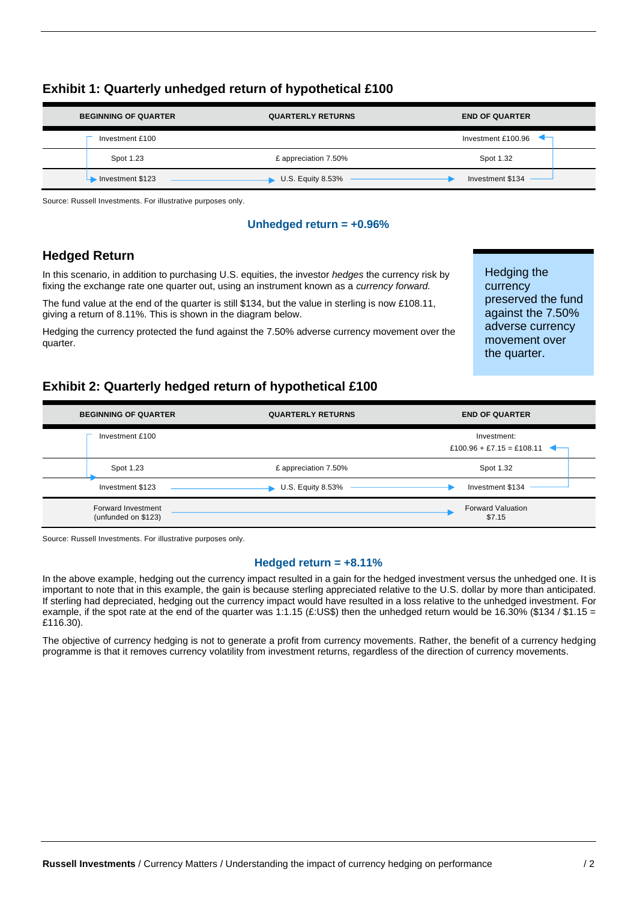| <b>BEGINNING OF QUARTER</b> | <b>QUARTERLY RETURNS</b> | <b>END OF QUARTER</b>                   |
|-----------------------------|--------------------------|-----------------------------------------|
| Investment £100             |                          | Investment £100.96 $\blacktriangleleft$ |
| Spot 1.23                   | £ appreciation 7.50%     | Spot 1.32                               |
| Investment \$123            | <b>U.S. Equity 8.53%</b> | Investment \$134                        |

# **Exhibit 1: Quarterly unhedged return of hypothetical £100**

Source: Russell Investments. For illustrative purposes only.

#### **Unhedged return = +0.96%**

# **Hedged Return**

In this scenario, in addition to purchasing U.S. equities, the investor *hedges* the currency risk by fixing the exchange rate one quarter out, using an instrument known as a *currency forward.*

The fund value at the end of the quarter is still \$134, but the value in sterling is now £108.11, giving a return of 8.11%. This is shown in the diagram below.

Hedging the currency protected the fund against the 7.50% adverse currency movement over the quarter.

Hedging the currency preserved the fund against the 7.50% adverse currency movement over the quarter.

# **Exhibit 2: Quarterly hedged return of hypothetical £100**

| <b>BEGINNING OF QUARTER</b>               | <b>QUARTERLY RETURNS</b> | <b>END OF QUARTER</b>                    |
|-------------------------------------------|--------------------------|------------------------------------------|
| Investment £100                           |                          | Investment:<br>£100.96 + £7.15 = £108.11 |
| Spot 1.23                                 | £ appreciation 7.50%     | Spot 1.32                                |
| Investment \$123                          | U.S. Equity 8.53%        | Investment \$134                         |
| Forward Investment<br>(unfunded on \$123) |                          | <b>Forward Valuation</b><br>\$7.15       |

Source: Russell Investments. For illustrative purposes only.

#### **Hedged return = +8.11%**

In the above example, hedging out the currency impact resulted in a gain for the hedged investment versus the unhedged one. It is important to note that in this example, the gain is because sterling appreciated relative to the U.S. dollar by more than anticipated. If sterling had depreciated, hedging out the currency impact would have resulted in a loss relative to the unhedged investment. For example, if the spot rate at the end of the quarter was 1:1.15 (£:US\$) then the unhedged return would be 16.30% (\$134 / \$1.15 = £116.30).

The objective of currency hedging is not to generate a profit from currency movements. Rather, the benefit of a currency hedging programme is that it removes currency volatility from investment returns, regardless of the direction of currency movements.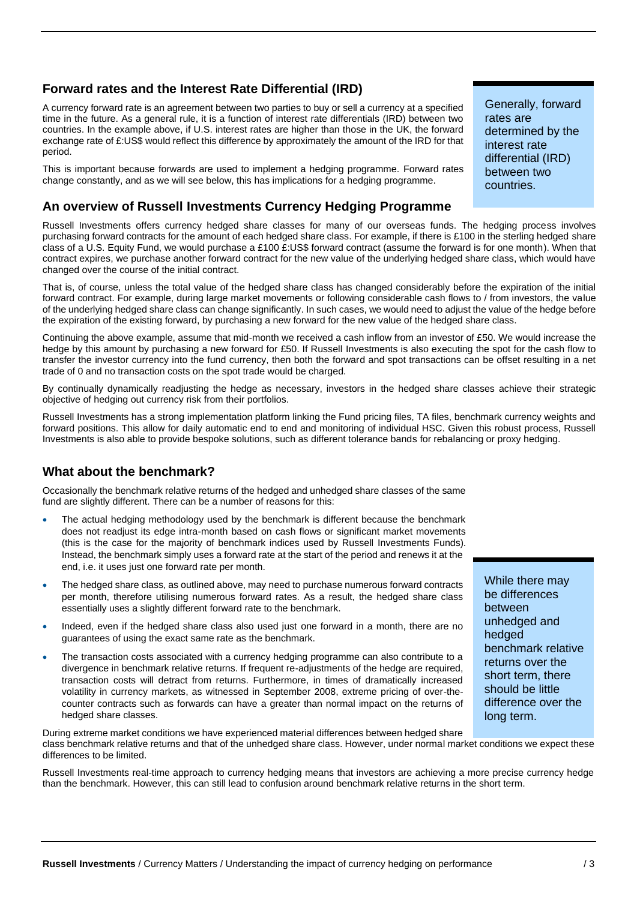# **Forward rates and the Interest Rate Differential (IRD)**

A currency forward rate is an agreement between two parties to buy or sell a currency at a specified time in the future. As a general rule, it is a function of interest rate differentials (IRD) between two countries. In the example above, if U.S. interest rates are higher than those in the UK, the forward exchange rate of £:US\$ would reflect this difference by approximately the amount of the IRD for that period.

This is important because forwards are used to implement a hedging programme. Forward rates change constantly, and as we will see below, this has implications for a hedging programme.

# **An overview of Russell Investments Currency Hedging Programme**

Russell Investments offers currency hedged share classes for many of our overseas funds. The hedging process involves purchasing forward contracts for the amount of each hedged share class. For example, if there is £100 in the sterling hedged share class of a U.S. Equity Fund, we would purchase a £100 £:US\$ forward contract (assume the forward is for one month). When that contract expires, we purchase another forward contract for the new value of the underlying hedged share class, which would have changed over the course of the initial contract.

That is, of course, unless the total value of the hedged share class has changed considerably before the expiration of the initial forward contract. For example, during large market movements or following considerable cash flows to / from investors, the value of the underlying hedged share class can change significantly. In such cases, we would need to adjust the value of the hedge before the expiration of the existing forward, by purchasing a new forward for the new value of the hedged share class.

Continuing the above example, assume that mid-month we received a cash inflow from an investor of £50. We would increase the hedge by this amount by purchasing a new forward for £50. If Russell Investments is also executing the spot for the cash flow to transfer the investor currency into the fund currency, then both the forward and spot transactions can be offset resulting in a net trade of 0 and no transaction costs on the spot trade would be charged.

By continually dynamically readjusting the hedge as necessary, investors in the hedged share classes achieve their strategic objective of hedging out currency risk from their portfolios.

Russell Investments has a strong implementation platform linking the Fund pricing files, TA files, benchmark currency weights and forward positions. This allow for daily automatic end to end and monitoring of individual HSC. Given this robust process, Russell Investments is also able to provide bespoke solutions, such as different tolerance bands for rebalancing or proxy hedging.

# **What about the benchmark?**

Occasionally the benchmark relative returns of the hedged and unhedged share classes of the same fund are slightly different. There can be a number of reasons for this:

- The actual hedging methodology used by the benchmark is different because the benchmark does not readjust its edge intra-month based on cash flows or significant market movements (this is the case for the majority of benchmark indices used by Russell Investments Funds). Instead, the benchmark simply uses a forward rate at the start of the period and renews it at the end, i.e. it uses just one forward rate per month.
- The hedged share class, as outlined above, may need to purchase numerous forward contracts per month, therefore utilising numerous forward rates. As a result, the hedged share class essentially uses a slightly different forward rate to the benchmark.
- Indeed, even if the hedged share class also used just one forward in a month, there are no guarantees of using the exact same rate as the benchmark.
- The transaction costs associated with a currency hedging programme can also contribute to a divergence in benchmark relative returns. If frequent re-adjustments of the hedge are required, transaction costs will detract from returns. Furthermore, in times of dramatically increased volatility in currency markets, as witnessed in September 2008, extreme pricing of over-thecounter contracts such as forwards can have a greater than normal impact on the returns of hedged share classes.

During extreme market conditions we have experienced material differences between hedged share class benchmark relative returns and that of the unhedged share class. However, under normal market conditions we expect these differences to be limited.

Russell Investments real-time approach to currency hedging means that investors are achieving a more precise currency hedge than the benchmark. However, this can still lead to confusion around benchmark relative returns in the short term.

Generally, forward rates are determined by the interest rate differential (IRD) between two countries.

While there may be differences between unhedged and

benchmark relative returns over the short term, there should be little difference over the

hedged

long term.